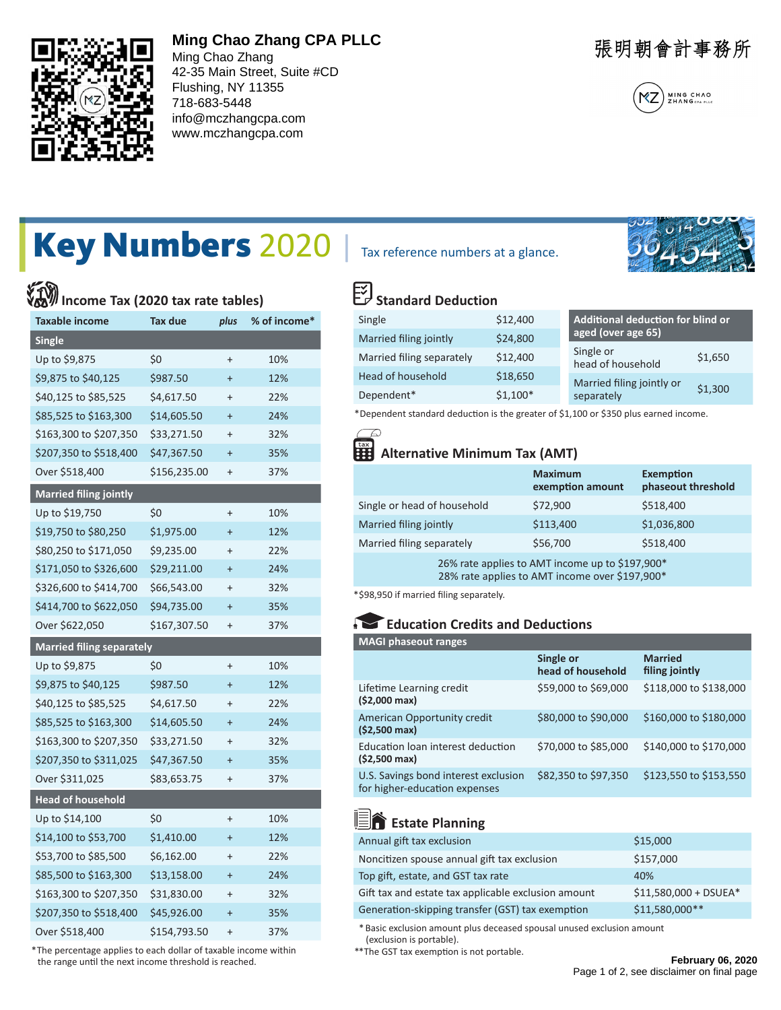

## **Ming Chao Zhang CPA PLLC**

Ming Chao Zhang 42-35 Main Street, Suite #CD Flushing, NY 11355 718-683-5448 info@mczhangcpa.com www.mczhangcpa.com

張明朝會計事務所



# Key Numbers 2020 | Tax reference numbers at a glance.

# **Income Tax (2020 tax rate tables)**

| <b>Taxable income</b>            | Tax due      | plus      | % of income* |
|----------------------------------|--------------|-----------|--------------|
| <b>Single</b>                    |              |           |              |
| Up to \$9,875                    | \$0          | $^{+}$    | 10%          |
| \$9,875 to \$40,125              | \$987.50     | $\ddot{}$ | 12%          |
| \$40,125 to \$85,525             | \$4,617.50   | $\ddot{}$ | 22%          |
| \$85,525 to \$163,300            | \$14,605.50  | $\ddot{}$ | 24%          |
| \$163,300 to \$207,350           | \$33,271.50  | $\ddot{}$ | 32%          |
| \$207,350 to \$518,400           | \$47,367.50  | $\ddot{}$ | 35%          |
| Over \$518,400                   | \$156,235.00 | $^{+}$    | 37%          |
| <b>Married filing jointly</b>    |              |           |              |
| Up to \$19,750                   | \$0          | $^{+}$    | 10%          |
| \$19,750 to \$80,250             | \$1,975.00   | $\ddot{}$ | 12%          |
| \$80,250 to \$171,050            | \$9,235.00   | $^{+}$    | 22%          |
| \$171,050 to \$326,600           | \$29,211.00  | $\ddot{}$ | 24%          |
| \$326,600 to \$414,700           | \$66,543.00  | $\ddot{}$ | 32%          |
| \$414,700 to \$622,050           | \$94,735.00  | $\ddot{}$ | 35%          |
| Over \$622,050                   | \$167,307.50 | $\ddot{}$ | 37%          |
| <b>Married filing separately</b> |              |           |              |
| Up to \$9,875                    | \$0          | $^{+}$    | 10%          |
| \$9,875 to \$40,125              | \$987.50     | $\ddot{}$ | 12%          |
| \$40,125 to \$85,525             | \$4,617.50   | $^{+}$    | 22%          |
| \$85,525 to \$163,300            | \$14,605.50  | $\ddot{}$ | 24%          |
| \$163,300 to \$207,350           | \$33,271.50  | $\ddot{}$ | 32%          |
| \$207,350 to \$311,025           | \$47,367.50  | $\ddot{}$ | 35%          |
| Over \$311,025                   | \$83,653.75  | $\ddot{}$ | 37%          |
| <b>Head of household</b>         |              |           |              |
| Up to \$14,100                   | \$0          | $\ddot{}$ | 10%          |
| \$14,100 to \$53,700             | \$1,410.00   | $\ddot{}$ | 12%          |
| \$53,700 to \$85,500             | \$6,162.00   | $\ddot{}$ | 22%          |
| \$85,500 to \$163,300            | \$13,158.00  | $\ddot{}$ | 24%          |
| \$163,300 to \$207,350           | \$31,830.00  | $\ddot{}$ | 32%          |
| \$207,350 to \$518,400           | \$45,926.00  | $\ddot{}$ | 35%          |
| Over \$518,400                   | \$154,793.50 | $^{+}$    | 37%          |

 \* The percentage applies to each dollar of taxable income within the range until the next income threshold is reached.



# **Standard Deduction**

| Single                    | \$12,400  | Additional deduction for blind or<br>aged (over age 65) |  |
|---------------------------|-----------|---------------------------------------------------------|--|
| Married filing jointly    | \$24,800  |                                                         |  |
| Married filing separately | \$12,400  | Single or<br>\$1,650<br>head of household               |  |
| Head of household         | \$18,650  | Married filing jointly or                               |  |
| Dependent*                | $$1,100*$ | \$1,300<br>separately                                   |  |

\* Dependent standard deduction is the greater of \$1,100 or \$350 plus earned income.

## **Alternative Minimum Tax (AMT)**

|                             | <b>Maximum</b><br>exemption amount                  | <b>Exemption</b><br>phaseout threshold |
|-----------------------------|-----------------------------------------------------|----------------------------------------|
| Single or head of household | \$72,900                                            | \$518,400                              |
| Married filing jointly      | \$113,400                                           | \$1,036,800                            |
| Married filing separately   | \$56,700                                            | \$518,400                              |
|                             | $76\%$ rate applies to AMT income up to $5107.000*$ |                                        |

 $6\%$  rate applies to AMT income up to  $3$ 28% rate applies to AMT income over \$197,900\*

\*\$98,950 if married filing separately.

#### **Education Credits and Deductions**

| <b>MAGI phaseout ranges</b>                                           |                                |                                  |
|-----------------------------------------------------------------------|--------------------------------|----------------------------------|
|                                                                       | Single or<br>head of household | <b>Married</b><br>filing jointly |
| Lifetime Learning credit<br>$(52,000 \text{ max})$                    | \$59,000 to \$69,000           | \$118,000 to \$138,000           |
| American Opportunity credit<br>$(52,500 \text{ max})$                 | \$80,000 to \$90,000           | \$160,000 to \$180,000           |
| Education loan interest deduction<br>$(52,500 \text{ max})$           | \$70,000 to \$85,000           | \$140,000 to \$170,000           |
| U.S. Savings bond interest exclusion<br>for higher-education expenses | \$82,350 to \$97,350           | \$123,550 to \$153,550           |

## **End** Estate Planning

| Annual gift tax exclusion                           | \$15,000               |
|-----------------------------------------------------|------------------------|
| Noncitizen spouse annual gift tax exclusion         | \$157,000              |
| Top gift, estate, and GST tax rate                  | 40%                    |
| Gift tax and estate tax applicable exclusion amount | $$11,580,000 + DSUEA*$ |
| Generation-skipping transfer (GST) tax exemption    | \$11,580,000**         |

 \* Basic exclusion amount plus deceased spousal unused exclusion amount (exclusion is portable).

\*\*The GST tax exemption is not portable.